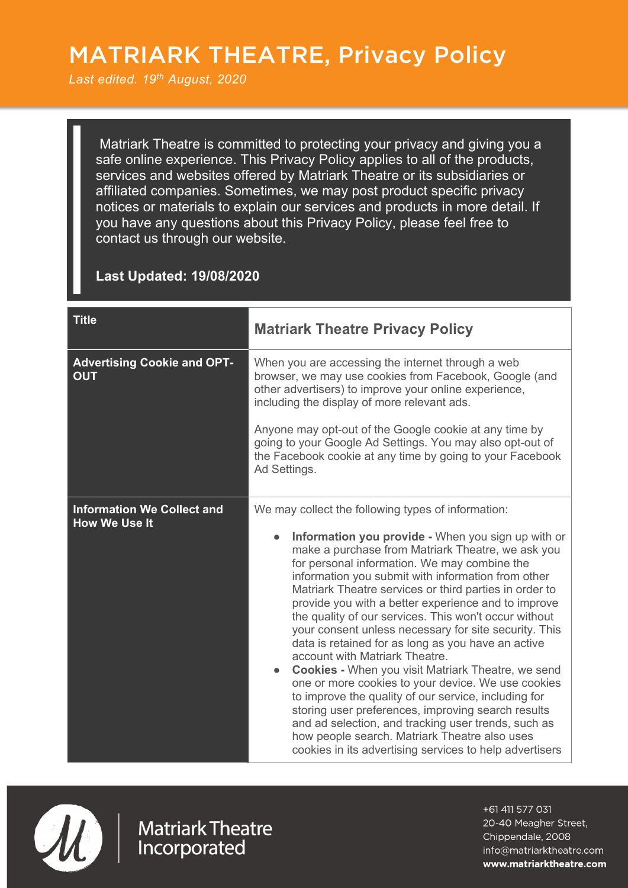## MATRIARK THEATRE, Privacy Policy

` *Last edited. 19th August, 2020*

Matriark Theatre is committed to protecting your privacy and giving you a safe online experience. This Privacy Policy applies to all of the products, services and websites offered by Matriark Theatre or its subsidiaries or affiliated companies. Sometimes, we may post product specific privacy notices or materials to explain our services and products in more detail. If you have any questions about this Privacy Policy, please feel free to contact us through our website.

## **Last Updated: 19/08/2020**

| <b>Title</b>                                              | <b>Matriark Theatre Privacy Policy</b>                                                                                                                                                                                                                                                                                                                                                                                                                                                                                                                                                                                                                                                                                                                                                                                                                                                                                                                                                             |
|-----------------------------------------------------------|----------------------------------------------------------------------------------------------------------------------------------------------------------------------------------------------------------------------------------------------------------------------------------------------------------------------------------------------------------------------------------------------------------------------------------------------------------------------------------------------------------------------------------------------------------------------------------------------------------------------------------------------------------------------------------------------------------------------------------------------------------------------------------------------------------------------------------------------------------------------------------------------------------------------------------------------------------------------------------------------------|
| <b>Advertising Cookie and OPT-</b><br><b>OUT</b>          | When you are accessing the internet through a web<br>browser, we may use cookies from Facebook, Google (and<br>other advertisers) to improve your online experience,<br>including the display of more relevant ads.<br>Anyone may opt-out of the Google cookie at any time by<br>going to your Google Ad Settings. You may also opt-out of<br>the Facebook cookie at any time by going to your Facebook<br>Ad Settings.                                                                                                                                                                                                                                                                                                                                                                                                                                                                                                                                                                            |
| <b>Information We Collect and</b><br><b>How We Use It</b> | We may collect the following types of information:<br>Information you provide - When you sign up with or<br>make a purchase from Matriark Theatre, we ask you<br>for personal information. We may combine the<br>information you submit with information from other<br>Matriark Theatre services or third parties in order to<br>provide you with a better experience and to improve<br>the quality of our services. This won't occur without<br>your consent unless necessary for site security. This<br>data is retained for as long as you have an active<br>account with Matriark Theatre.<br><b>Cookies - When you visit Matriark Theatre, we send</b><br>one or more cookies to your device. We use cookies<br>to improve the quality of our service, including for<br>storing user preferences, improving search results<br>and ad selection, and tracking user trends, such as<br>how people search. Matriark Theatre also uses<br>cookies in its advertising services to help advertisers |



**Matriark Theatre** Incorporated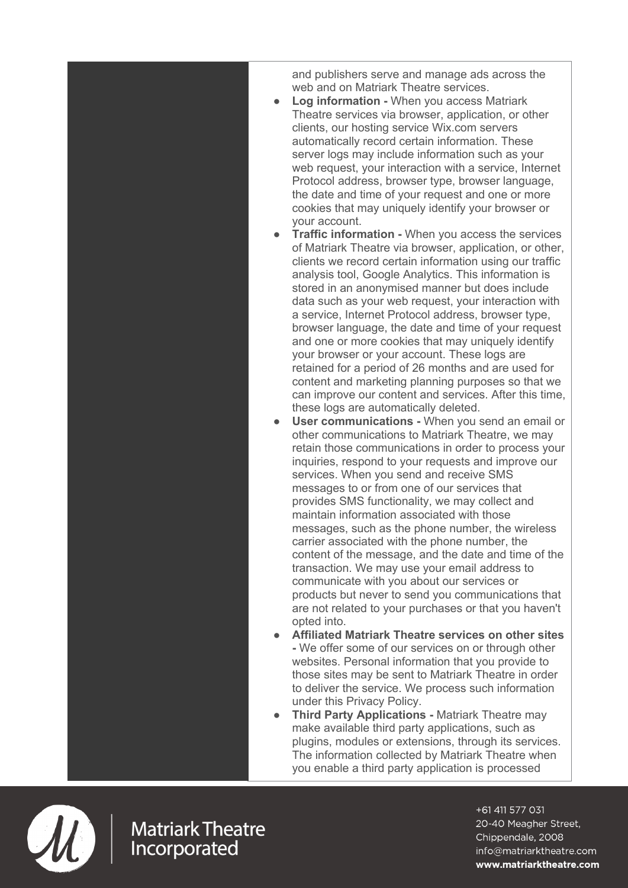and publishers serve and manage ads across the web and on Matriark Theatre services.

- **Log information When you access Matriark** Theatre services via browser, application, or other clients, our hosting service Wix.com servers automatically record certain information. These server logs may include information such as your web request, your interaction with a service, Internet Protocol address, browser type, browser language, the date and time of your request and one or more cookies that may uniquely identify your browser or your account.
- **Traffic information -** When you access the services of Matriark Theatre via browser, application, or other, clients we record certain information using our traffic analysis tool, Google Analytics. This information is stored in an anonymised manner but does include data such as your web request, your interaction with a service, Internet Protocol address, browser type, browser language, the date and time of your request and one or more cookies that may uniquely identify your browser or your account. These logs are retained for a period of 26 months and are used for content and marketing planning purposes so that we can improve our content and services. After this time, these logs are automatically deleted.
- **User communications -** When you send an email or other communications to Matriark Theatre, we may retain those communications in order to process your inquiries, respond to your requests and improve our services. When you send and receive SMS messages to or from one of our services that provides SMS functionality, we may collect and maintain information associated with those messages, such as the phone number, the wireless carrier associated with the phone number, the content of the message, and the date and time of the transaction. We may use your email address to communicate with you about our services or products but never to send you communications that are not related to your purchases or that you haven't opted into.
- **Affiliated Matriark Theatre services on other sites -** We offer some of our services on or through other websites. Personal information that you provide to those sites may be sent to Matriark Theatre in order to deliver the service. We process such information under this Privacy Policy.
- **Third Party Applications Matriark Theatre may** make available third party applications, such as plugins, modules or extensions, through its services. The information collected by Matriark Theatre when you enable a third party application is processed



**Matriark Theatre** Incorporated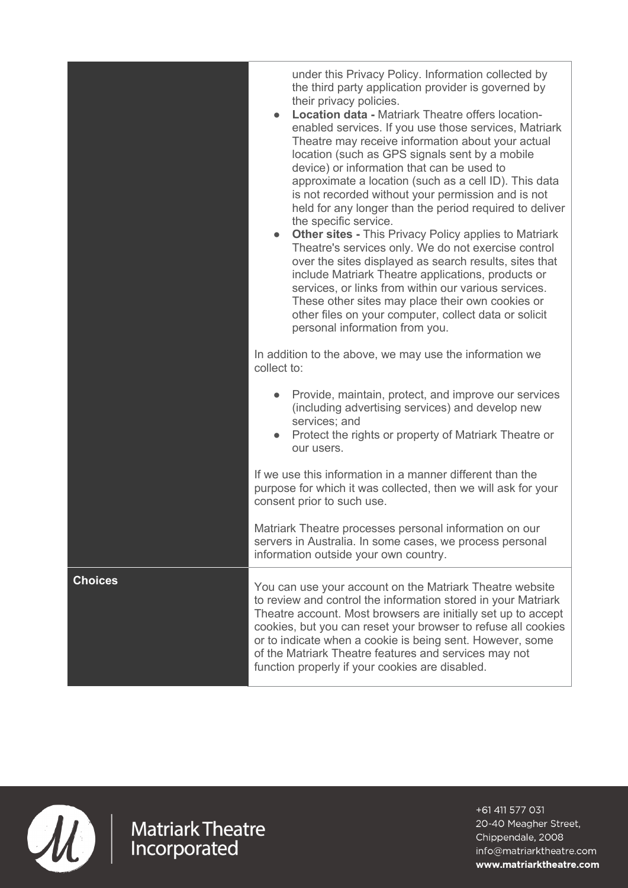|                | <b>Location data - Matriark Theatre offers location-</b><br>enabled services. If you use those services, Matriark<br>Theatre may receive information about your actual<br>location (such as GPS signals sent by a mobile<br>device) or information that can be used to<br>approximate a location (such as a cell ID). This data<br>is not recorded without your permission and is not<br>held for any longer than the period required to deliver<br>the specific service.<br><b>Other sites - This Privacy Policy applies to Matriark</b><br>$\bullet$<br>Theatre's services only. We do not exercise control<br>over the sites displayed as search results, sites that<br>include Matriark Theatre applications, products or<br>services, or links from within our various services.<br>These other sites may place their own cookies or<br>other files on your computer, collect data or solicit<br>personal information from you.<br>In addition to the above, we may use the information we<br>collect to:<br>Provide, maintain, protect, and improve our services<br>(including advertising services) and develop new<br>services; and<br>Protect the rights or property of Matriark Theatre or<br>our users. |
|----------------|--------------------------------------------------------------------------------------------------------------------------------------------------------------------------------------------------------------------------------------------------------------------------------------------------------------------------------------------------------------------------------------------------------------------------------------------------------------------------------------------------------------------------------------------------------------------------------------------------------------------------------------------------------------------------------------------------------------------------------------------------------------------------------------------------------------------------------------------------------------------------------------------------------------------------------------------------------------------------------------------------------------------------------------------------------------------------------------------------------------------------------------------------------------------------------------------------------------------|
|                | If we use this information in a manner different than the<br>purpose for which it was collected, then we will ask for your<br>consent prior to such use.                                                                                                                                                                                                                                                                                                                                                                                                                                                                                                                                                                                                                                                                                                                                                                                                                                                                                                                                                                                                                                                           |
|                | Matriark Theatre processes personal information on our<br>servers in Australia. In some cases, we process personal<br>information outside your own country.                                                                                                                                                                                                                                                                                                                                                                                                                                                                                                                                                                                                                                                                                                                                                                                                                                                                                                                                                                                                                                                        |
| <b>Choices</b> | You can use your account on the Matriark Theatre website<br>to review and control the information stored in your Matriark<br>Theatre account. Most browsers are initially set up to accept<br>cookies, but you can reset your browser to refuse all cookies<br>or to indicate when a cookie is being sent. However, some<br>of the Matriark Theatre features and services may not<br>function properly if your cookies are disabled.                                                                                                                                                                                                                                                                                                                                                                                                                                                                                                                                                                                                                                                                                                                                                                               |

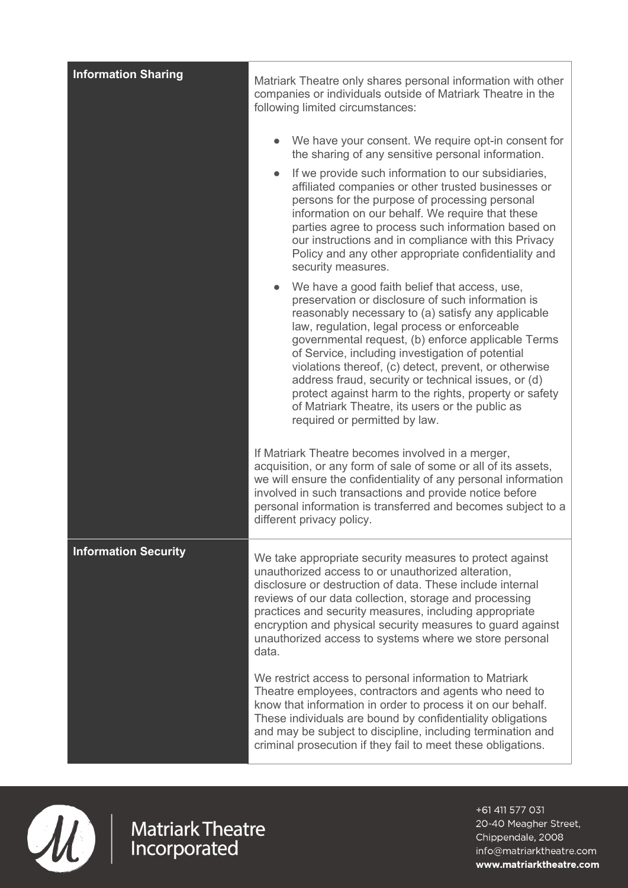| <b>Information Sharing</b>  | Matriark Theatre only shares personal information with other<br>companies or individuals outside of Matriark Theatre in the<br>following limited circumstances:                                                                                                                                                                                                                                                                                                                                                                                                                   |
|-----------------------------|-----------------------------------------------------------------------------------------------------------------------------------------------------------------------------------------------------------------------------------------------------------------------------------------------------------------------------------------------------------------------------------------------------------------------------------------------------------------------------------------------------------------------------------------------------------------------------------|
|                             | We have your consent. We require opt-in consent for<br>the sharing of any sensitive personal information.                                                                                                                                                                                                                                                                                                                                                                                                                                                                         |
|                             | If we provide such information to our subsidiaries,<br>affiliated companies or other trusted businesses or<br>persons for the purpose of processing personal<br>information on our behalf. We require that these<br>parties agree to process such information based on<br>our instructions and in compliance with this Privacy<br>Policy and any other appropriate confidentiality and<br>security measures.                                                                                                                                                                      |
|                             | We have a good faith belief that access, use,<br>preservation or disclosure of such information is<br>reasonably necessary to (a) satisfy any applicable<br>law, regulation, legal process or enforceable<br>governmental request, (b) enforce applicable Terms<br>of Service, including investigation of potential<br>violations thereof, (c) detect, prevent, or otherwise<br>address fraud, security or technical issues, or (d)<br>protect against harm to the rights, property or safety<br>of Matriark Theatre, its users or the public as<br>required or permitted by law. |
|                             | If Matriark Theatre becomes involved in a merger,<br>acquisition, or any form of sale of some or all of its assets,<br>we will ensure the confidentiality of any personal information<br>involved in such transactions and provide notice before<br>personal information is transferred and becomes subject to a<br>different privacy policy.                                                                                                                                                                                                                                     |
| <b>Information Security</b> | We take appropriate security measures to protect against<br>unauthorized access to or unauthorized alteration,<br>disclosure or destruction of data. These include internal<br>reviews of our data collection, storage and processing<br>practices and security measures, including appropriate<br>encryption and physical security measures to guard against<br>unauthorized access to systems where we store personal<br>data.                                                                                                                                                  |
|                             | We restrict access to personal information to Matriark<br>Theatre employees, contractors and agents who need to<br>know that information in order to process it on our behalf.<br>These individuals are bound by confidentiality obligations<br>and may be subject to discipline, including termination and<br>criminal prosecution if they fail to meet these obligations.                                                                                                                                                                                                       |